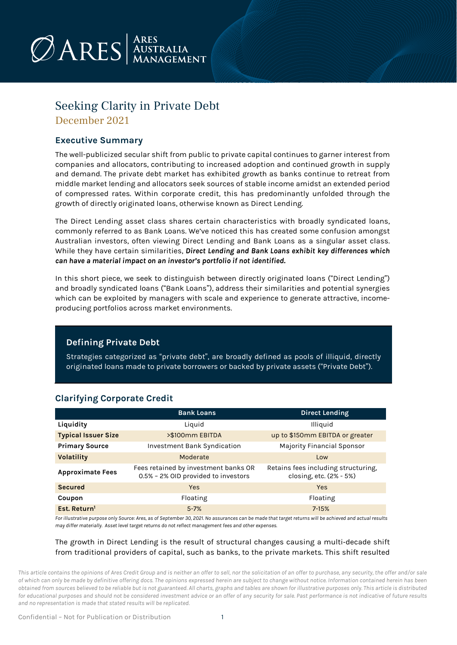

### Seeking Clarity in Private Debt

December 2021

### **Executive Summary**

The well-publicized secular shift from public to private capital continues to garner interest from companies and allocators, contributing to increased adoption and continued growth in supply and demand. The private debt market has exhibited growth as banks continue to retreat from middle market lending and allocators seek sources of stable income amidst an extended period of compressed rates. Within corporate credit, this has predominantly unfolded through the growth of directly originated loans, otherwise known as Direct Lending.

The Direct Lending asset class shares certain characteristics with broadly syndicated loans, commonly referred to as Bank Loans. We've noticed this has created some confusion amongst Australian investors, often viewing Direct Lending and Bank Loans as a singular asset class. While they have certain similarities, *Direct Lending and Bank Loans exhibit key differences which can have a material impact on an investor's portfolio if not identified.*

In this short piece, we seek to distinguish between directly originated loans ("Direct Lending") and broadly syndicated loans ("Bank Loans"), address their similarities and potential synergies which can be exploited by managers with scale and experience to generate attractive, incomeproducing portfolios across market environments.

#### **Defining Private Debt**

Strategies categorized as "private debt", are broadly defined as pools of illiquid, directly originated loans made to private borrowers or backed by private assets ("Private Debt").

|                            | <b>Bank Loans</b>                                                           | <b>Direct Lending</b>                                          |
|----------------------------|-----------------------------------------------------------------------------|----------------------------------------------------------------|
| Liquidity                  | Liquid                                                                      | Illiquid                                                       |
| <b>Typical Issuer Size</b> | >\$100mm EBITDA                                                             | up to \$150mm EBITDA or greater                                |
| <b>Primary Source</b>      | <b>Investment Bank Syndication</b>                                          | <b>Majority Financial Sponsor</b>                              |
| <b>Volatility</b>          | Moderate                                                                    | Low                                                            |
| <b>Approximate Fees</b>    | Fees retained by investment banks OR<br>0.5% - 2% OID provided to investors | Retains fees including structuring,<br>closing, etc. (2% - 5%) |
| <b>Secured</b>             | <b>Yes</b>                                                                  | Yes                                                            |
| Coupon                     | Floating                                                                    | Floating                                                       |
| Est. Return <sup>1</sup>   | $5 - 7%$                                                                    | $7 - 15%$                                                      |

### **Clarifying Corporate Credit**

*For illustrative purpose only Source: Ares, as of September 30, 2021. No assurances can be made that target returns will be achieved and actual results may differ materially. Asset level target returns do not reflect management fees and other expenses.*

#### The growth in Direct Lending is the result of structural changes causing a multi‐decade shift from traditional providers of capital, such as banks, to the private markets. This shift resulted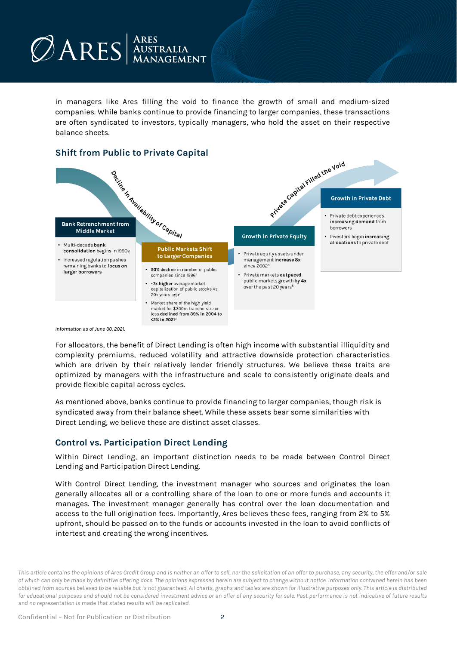in managers like Ares filling the void to finance the growth of small and medium‐sized companies. While banks continue to provide financing to larger companies, these transactions are often syndicated to investors, typically managers, who hold the asset on their respective balance sheets.



### **Shift from Public to Private Capital**

*Information as of June 30, 2021.* 

For allocators, the benefit of Direct Lending is often high income with substantial illiquidity and complexity premiums, reduced volatility and attractive downside protection characteristics which are driven by their relatively lender friendly structures. We believe these traits are optimized by managers with the infrastructure and scale to consistently originate deals and provide flexible capital across cycles.

As mentioned above, banks continue to provide financing to larger companies, though risk is syndicated away from their balance sheet. While these assets bear some similarities with Direct Lending, we believe these are distinct asset classes.

### **Control vs. Participation Direct Lending**

Within Direct Lending, an important distinction needs to be made between Control Direct Lending and Participation Direct Lending.

With Control Direct Lending, the investment manager who sources and originates the loan generally allocates all or a controlling share of the loan to one or more funds and accounts it manages. The investment manager generally has control over the loan documentation and access to the full origination fees. Importantly, Ares believes these fees, ranging from 2% to 5% upfront, should be passed on to the funds or accounts invested in the loan to avoid conflicts of intertest and creating the wrong incentives.

*This article contains the opinions of Ares Credit Group and is neither an offer to sell, nor the solicitation of an offer to purchase, any security, the offer and/or sale of which can only be made by definitive offering docs. The opinions expressed herein are subject to change without notice. Information contained herein has been obtained from sources believed to be reliable but is not guaranteed. All charts, graphs and tables are shown for illustrative purposes only. This article is distributed for educational purposes and should not be considered investment advice or an offer of any security for sale. Past performance is not indicative of future results and no representation is made that stated results will be replicated.*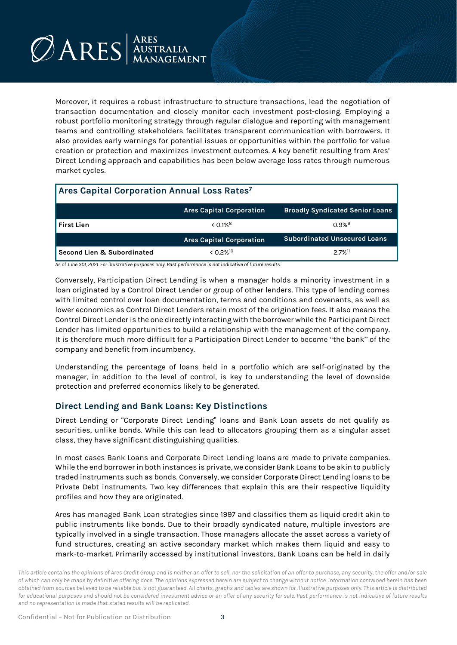## $\n *Q*ARES\n  $\begin{array}{c}\n \text{ARES} \\
\text{AMAS GEMENT}\n \end{array}$$

Moreover, it requires a robust infrastructure to structure transactions, lead the negotiation of transaction documentation and closely monitor each investment post-closing. Employing a robust portfolio monitoring strategy through regular dialogue and reporting with management teams and controlling stakeholders facilitates transparent communication with borrowers. It also provides early warnings for potential issues or opportunities within the portfolio for value creation or protection and maximizes investment outcomes. A key benefit resulting from Ares' Direct Lending approach and capabilities has been below average loss rates through numerous market cycles.

| <b>Ares Capital Corporation Annual Loss Rates7</b> |                                 |                                        |  |
|----------------------------------------------------|---------------------------------|----------------------------------------|--|
|                                                    | <b>Ares Capital Corporation</b> | <b>Broadly Syndicated Senior Loans</b> |  |
| <b>First Lien</b>                                  | $< 0.1\%$ <sup>8</sup>          | $0.9%$ <sup>9</sup>                    |  |
|                                                    | <b>Ares Capital Corporation</b> | <b>Subordinated Unsecured Loans</b>    |  |
| <b>Second Lien &amp; Subordinated</b>              | < 0.2% <sup>10</sup>            | $27%$ <sup>11</sup>                    |  |

*As of June 301, 2021. For illustrative purposes only. Past performance is not indicative of future results.* 

Conversely, Participation Direct Lending is when a manager holds a minority investment in a loan originated by a Control Direct Lender or group of other lenders. This type of lending comes with limited control over loan documentation, terms and conditions and covenants, as well as lower economics as Control Direct Lenders retain most of the origination fees. It also means the Control Direct Lender is the one directly interacting with the borrower while the Participant Direct Lender has limited opportunities to build a relationship with the management of the company. It is therefore much more difficult for a Participation Direct Lender to become "the bank" of the company and benefit from incumbency.

Understanding the percentage of loans held in a portfolio which are self-originated by the manager, in addition to the level of control, is key to understanding the level of downside protection and preferred economics likely to be generated.

#### **Direct Lending and Bank Loans: Key Distinctions**

Direct Lending or "Corporate Direct Lending" loans and Bank Loan assets do not qualify as securities, unlike bonds. While this can lead to allocators grouping them as a singular asset class, they have significant distinguishing qualities.

In most cases Bank Loans and Corporate Direct Lending loans are made to private companies. While the end borrower in both instances is private, we consider Bank Loans to be akin to publicly traded instruments such as bonds. Conversely, we consider Corporate Direct Lending loans to be Private Debt instruments. Two key differences that explain this are their respective liquidity profiles and how they are originated.

Ares has managed Bank Loan strategies since 1997 and classifies them as liquid credit akin to public instruments like bonds. Due to their broadly syndicated nature, multiple investors are typically involved in a single transaction. Those managers allocate the asset across a variety of fund structures, creating an active secondary market which makes them liquid and easy to mark-to-market. Primarily accessed by institutional investors, Bank Loans can be held in daily

*This article contains the opinions of Ares Credit Group and is neither an offer to sell, nor the solicitation of an offer to purchase, any security, the offer and/or sale of which can only be made by definitive offering docs. The opinions expressed herein are subject to change without notice. Information contained herein has been obtained from sources believed to be reliable but is not guaranteed. All charts, graphs and tables are shown for illustrative purposes only. This article is distributed for educational purposes and should not be considered investment advice or an offer of any security for sale. Past performance is not indicative of future results and no representation is made that stated results will be replicated.*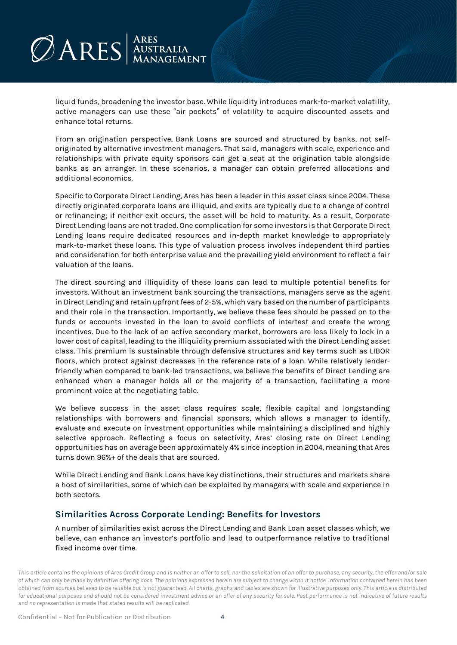liquid funds, broadening the investor base. While liquidity introduces mark-to-market volatility, active managers can use these "air pockets" of volatility to acquire discounted assets and enhance total returns.

From an origination perspective, Bank Loans are sourced and structured by banks, not selforiginated by alternative investment managers. That said, managers with scale, experience and relationships with private equity sponsors can get a seat at the origination table alongside banks as an arranger. In these scenarios, a manager can obtain preferred allocations and additional economics.

Specific to Corporate Direct Lending, Ares has been a leader in this asset class since 2004. These directly originated corporate loans are illiquid, and exits are typically due to a change of control or refinancing; if neither exit occurs, the asset will be held to maturity. As a result, Corporate Direct Lending loans are not traded. One complication for some investors is that Corporate Direct Lending loans require dedicated resources and in-depth market knowledge to appropriately mark-to-market these loans. This type of valuation process involves independent third parties and consideration for both enterprise value and the prevailing yield environment to reflect a fair valuation of the loans.

The direct sourcing and illiquidity of these loans can lead to multiple potential benefits for investors. Without an investment bank sourcing the transactions, managers serve as the agent in Direct Lending and retain upfront fees of 2-5%, which vary based on the number of participants and their role in the transaction. Importantly, we believe these fees should be passed on to the funds or accounts invested in the loan to avoid conflicts of intertest and create the wrong incentives. Due to the lack of an active secondary market, borrowers are less likely to lock in a lower cost of capital, leading to the illiquidity premium associated with the Direct Lending asset class. This premium is sustainable through defensive structures and key terms such as LIBOR floors, which protect against decreases in the reference rate of a loan. While relatively lenderfriendly when compared to bank-led transactions, we believe the benefits of Direct Lending are enhanced when a manager holds all or the majority of a transaction, facilitating a more prominent voice at the negotiating table.

We believe success in the asset class requires scale, flexible capital and longstanding relationships with borrowers and financial sponsors, which allows a manager to identify, evaluate and execute on investment opportunities while maintaining a disciplined and highly selective approach. Reflecting a focus on selectivity, Ares' closing rate on Direct Lending opportunities has on average been approximately 4% since inception in 2004, meaning that Ares turns down 96%+ of the deals that are sourced.

While Direct Lending and Bank Loans have key distinctions, their structures and markets share a host of similarities, some of which can be exploited by managers with scale and experience in both sectors.

### **Similarities Across Corporate Lending: Benefits for Investors**

A number of similarities exist across the Direct Lending and Bank Loan asset classes which, we believe, can enhance an investor's portfolio and lead to outperformance relative to traditional fixed income over time.

*This article contains the opinions of Ares Credit Group and is neither an offer to sell, nor the solicitation of an offer to purchase, any security, the offer and/or sale of which can only be made by definitive offering docs. The opinions expressed herein are subject to change without notice. Information contained herein has been obtained from sources believed to be reliable but is not guaranteed. All charts, graphs and tables are shown for illustrative purposes only. This article is distributed for educational purposes and should not be considered investment advice or an offer of any security for sale. Past performance is not indicative of future results and no representation is made that stated results will be replicated.*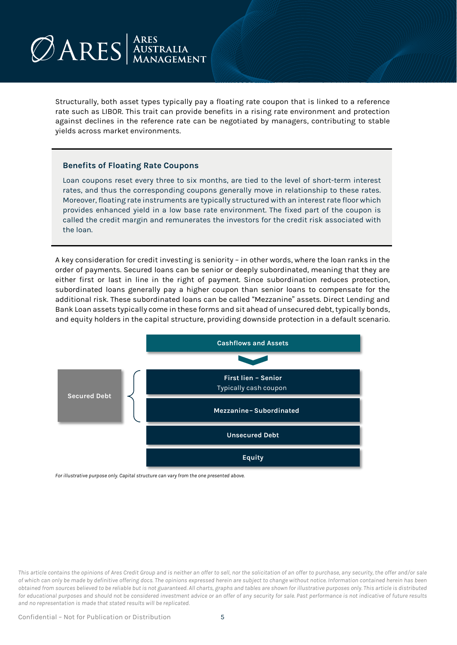# $\n *Q*ARS  $_{\text{Mansagnent}}^{\text{ARES}}$$

Structurally, both asset types typically pay a floating rate coupon that is linked to a reference rate such as LIBOR. This trait can provide benefits in a rising rate environment and protection against declines in the reference rate can be negotiated by managers, contributing to stable yields across market environments.

#### **Benefits of Floating Rate Coupons**

Loan coupons reset every three to six months, are tied to the level of short-term interest rates, and thus the corresponding coupons generally move in relationship to these rates. Moreover, floating rate instruments are typically structured with an interest rate floor which provides enhanced yield in a low base rate environment. The fixed part of the coupon is called the credit margin and remunerates the investors for the credit risk associated with the loan.

A key consideration for credit investing is seniority – in other words, where the loan ranks in the order of payments. Secured loans can be senior or deeply subordinated, meaning that they are either first or last in line in the right of payment. Since subordination reduces protection, subordinated loans generally pay a higher coupon than senior loans to compensate for the additional risk. These subordinated loans can be called "Mezzanine" assets. Direct Lending and Bank Loan assets typically come in these forms and sit ahead of unsecured debt, typically bonds, and equity holders in the capital structure, providing downside protection in a default scenario.



*For illustrative purpose only. Capital structure can vary from the one presented above.*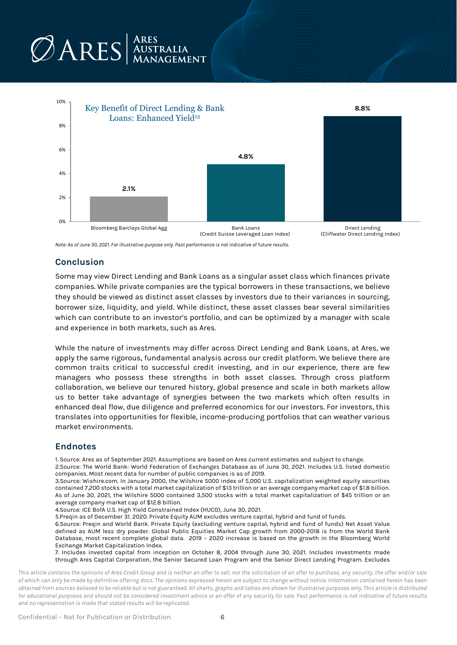

*Note: As of June 30, 2021. For illustrative purpose only. Past performance is not indicative of future results.*

### **Conclusion**

Some may view Direct Lending and Bank Loans as a singular asset class which finances private companies. While private companies are the typical borrowers in these transactions, we believe they should be viewed as distinct asset classes by investors due to their variances in sourcing, borrower size, liquidity, and yield. While distinct, these asset classes bear several similarities which can contribute to an investor's portfolio, and can be optimized by a manager with scale and experience in both markets, such as Ares.

While the nature of investments may differ across Direct Lending and Bank Loans, at Ares, we apply the same rigorous, fundamental analysis across our credit platform. We believe there are common traits critical to successful credit investing, and in our experience, there are few managers who possess these strengths in both asset classes. Through cross platform collaboration, we believe our tenured history, global presence and scale in both markets allow us to better take advantage of synergies between the two markets which often results in enhanced deal flow, due diligence and preferred economics for our investors. For investors, this translates into opportunities for flexible, income-producing portfolios that can weather various market environments.

#### **Endnotes**

1. Source: Ares as of September 2021. Assumptions are based on Ares current estimates and subject to change.

2.Source: The World Bank: World Federation of Exchanges Database as of June 30, 2021. Includes U.S. listed domestic companies. Most recent data for number of public companies is as of 2019.

3.Source: Wishire.com. In January 2000, the Wilshire 5000 index of 5,000 U.S. capitalization weighted equity securities contained 7,200 stocks with a total market capitalization of \$13 trillion or an average company market cap of \$1.8 billion. As of June 30, 2021, the Wilshire 5000 contained 3,500 stocks with a total market capitalization of \$45 trillion or an average company market cap of \$12.8 billion.

4.Source: ICE BofA U.S. High Yield Constrained Index (HUC0), June 30, 2021.

5.Preqin as of December 31. 2020. Private Equity AUM excludes venture capital, hybrid and fund of funds.

6.Source: Preqin and World Bank. Private Equity (excluding venture capital, hybrid and fund of funds) Net Asset Value defined as AUM less dry powder. Global Public Equities Market Cap growth from 2000-2018 is from the World Bank Database, most recent complete global data. 2019 – 2020 increase is based on the growth in the Bloomberg World Exchange Market Capitalization Index.

7. Includes invested capital from inception on October 8, 2004 through June 30, 2021. Includes investments made through Ares Capital Corporation, the Senior Secured Loan Program and the Senior Direct Lending Program. Excludes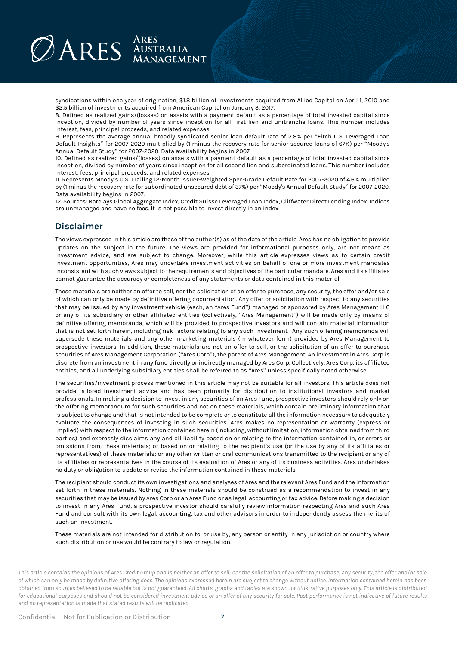syndications within one year of origination, \$1.8 billion of investments acquired from Allied Capital on April 1, 2010 and \$2.5 billion of investments acquired from American Capital on January 3, 2017.

8. Defined as realized gains/(losses) on assets with a payment default as a percentage of total invested capital since inception, divided by number of years since inception for all first lien and unitranche loans. This number includes interest, fees, principal proceeds, and related expenses.

9. Represents the average annual broadly syndicated senior loan default rate of 2.8% per "Fitch U.S. Leveraged Loan Default Insights" for 2007-2020 multiplied by (1 minus the recovery rate for senior secured loans of 67%) per "Moody's Annual Default Study" for 2007-2020. Data availability begins in 2007.

10. Defined as realized gains/(losses) on assets with a payment default as a percentage of total invested capital since inception, divided by number of years since inception for all second lien and subordinated loans. This number includes interest, fees, principal proceeds, and related expenses.

11. Represents Moody's U.S. Trailing 12-Month Issuer-Weighted Spec-Grade Default Rate for 2007-2020 of 4.6% multiplied by (1 minus the recovery rate for subordinated unsecured debt of 37%) per "Moody's Annual Default Study" for 2007-2020. Data availability begins in 2007.

12. Sources: Barclays Global Aggregate Index, Credit Suisse Leveraged Loan Index, Cliffwater Direct Lending Index. Indices are unmanaged and have no fees. It is not possible to invest directly in an index.

#### **Disclaimer**

The views expressed in this article are those of the author(s) as of the date of the article. Ares has no obligation to provide updates on the subject in the future. The views are provided for informational purposes only, are not meant as investment advice, and are subject to change. Moreover, while this article expresses views as to certain credit investment opportunities, Ares may undertake investment activities on behalf of one or more investment mandates inconsistent with such views subject to the requirements and objectives of the particular mandate. Ares and its affiliates cannot guarantee the accuracy or completeness of any statements or data contained in this material.

These materials are neither an offer to sell, nor the solicitation of an offer to purchase, any security, the offer and/or sale of which can only be made by definitive offering documentation. Any offer or solicitation with respect to any securities that may be issued by any investment vehicle (each, an "Ares Fund") managed or sponsored by Ares Management LLC or any of its subsidiary or other affiliated entities (collectively, "Ares Management") will be made only by means of definitive offering memoranda, which will be provided to prospective investors and will contain material information that is not set forth herein, including risk factors relating to any such investment. Any such offering memoranda will supersede these materials and any other marketing materials (in whatever form) provided by Ares Management to prospective investors. In addition, these materials are not an offer to sell, or the solicitation of an offer to purchase securities of Ares Management Corporation ("Ares Corp"), the parent of Ares Management. An investment in Ares Corp is discrete from an investment in any fund directly or indirectly managed by Ares Corp. Collectively, Ares Corp, its affiliated entities, and all underlying subsidiary entities shall be referred to as "Ares" unless specifically noted otherwise.

The securities/investment process mentioned in this article may not be suitable for all investors. This article does not provide tailored investment advice and has been primarily for distribution to institutional investors and market professionals. In making a decision to invest in any securities of an Ares Fund, prospective investors should rely only on the offering memorandum for such securities and not on these materials, which contain preliminary information that is subject to change and that is not intended to be complete or to constitute all the information necessary to adequately evaluate the consequences of investing in such securities. Ares makes no representation or warranty (express or implied) with respect to the information contained herein (including, without limitation, information obtained from third parties) and expressly disclaims any and all liability based on or relating to the information contained in, or errors or omissions from, these materials; or based on or relating to the recipient's use (or the use by any of its affiliates or representatives) of these materials; or any other written or oral communications transmitted to the recipient or any of its affiliates or representatives in the course of its evaluation of Ares or any of its business activities. Ares undertakes no duty or obligation to update or revise the information contained in these materials.

The recipient should conduct its own investigations and analyses of Ares and the relevant Ares Fund and the information set forth in these materials. Nothing in these materials should be construed as a recommendation to invest in any securities that may be issued by Ares Corp or an Ares Fund or as legal, accounting or tax advice. Before making a decision to invest in any Ares Fund, a prospective investor should carefully review information respecting Ares and such Ares Fund and consult with its own legal, accounting, tax and other advisors in order to independently assess the merits of such an investment.

These materials are not intended for distribution to, or use by, any person or entity in any jurisdiction or country where such distribution or use would be contrary to law or regulation.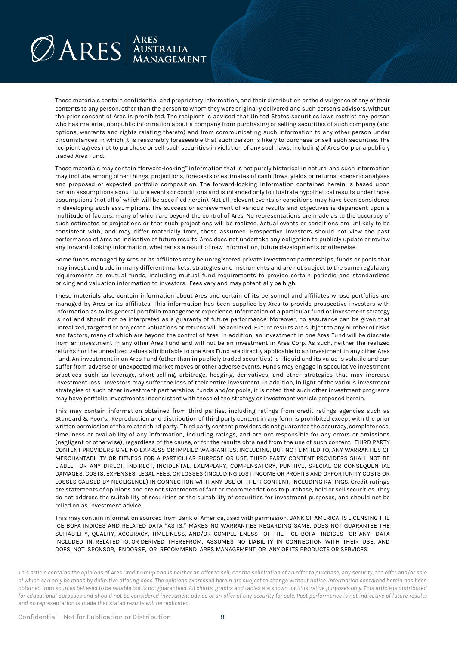These materials contain confidential and proprietary information, and their distribution or the divulgence of any of their contents to any person, other than the person to whom they were originally delivered and such person's advisors, without the prior consent of Ares is prohibited. The recipient is advised that United States securities laws restrict any person who has material, nonpublic information about a company from purchasing or selling securities of such company (and options, warrants and rights relating thereto) and from communicating such information to any other person under circumstances in which it is reasonably foreseeable that such person is likely to purchase or sell such securities. The recipient agrees not to purchase or sell such securities in violation of any such laws, including of Ares Corp or a publicly traded Ares Fund.

These materials may contain "forward-looking" information that is not purely historical in nature, and such information may include, among other things, projections, forecasts or estimates of cash flows, yields or returns, scenario analyses and proposed or expected portfolio composition. The forward-looking information contained herein is based upon certain assumptions about future events or conditions and is intended only to illustrate hypothetical results under those assumptions (not all of which will be specified herein). Not all relevant events or conditions may have been considered in developing such assumptions. The success or achievement of various results and objectives is dependent upon a multitude of factors, many of which are beyond the control of Ares. No representations are made as to the accuracy of such estimates or projections or that such projections will be realized. Actual events or conditions are unlikely to be consistent with, and may differ materially from, those assumed. Prospective investors should not view the past performance of Ares as indicative of future results. Ares does not undertake any obligation to publicly update or review any forward-looking information, whether as a result of new information, future developments or otherwise.

Some funds managed by Ares or its affiliates may be unregistered private investment partnerships, funds or pools that may invest and trade in many different markets, strategies and instruments and are not subject to the same regulatory requirements as mutual funds, including mutual fund requirements to provide certain periodic and standardized pricing and valuation information to investors. Fees vary and may potentially be high.

These materials also contain information about Ares and certain of its personnel and affiliates whose portfolios are managed by Ares or its affiliates. This information has been supplied by Ares to provide prospective investors with information as to its general portfolio management experience. Information of a particular fund or investment strategy is not and should not be interpreted as a guaranty of future performance. Moreover, no assurance can be given that unrealized, targeted or projected valuations or returns will be achieved. Future results are subject to any number of risks and factors, many of which are beyond the control of Ares. In addition, an investment in one Ares Fund will be discrete from an investment in any other Ares Fund and will not be an investment in Ares Corp. As such, neither the realized returns nor the unrealized values attributable to one Ares Fund are directly applicable to an investment in any other Ares Fund. An investment in an Ares Fund (other than in publicly traded securities) is illiquid and its value is volatile and can suffer from adverse or unexpected market moves or other adverse events. Funds may engage in speculative investment practices such as leverage, short-selling, arbitrage, hedging, derivatives, and other strategies that may increase investment loss. Investors may suffer the loss of their entire investment. In addition, in light of the various investment strategies of such other investment partnerships, funds and/or pools, it is noted that such other investment programs may have portfolio investments inconsistent with those of the strategy or investment vehicle proposed herein.

This may contain information obtained from third parties, including ratings from credit ratings agencies such as Standard & Poor's. Reproduction and distribution of third party content in any form is prohibited except with the prior written permission of the related third party. Third party content providers do not guarantee the accuracy, completeness, timeliness or availability of any information, including ratings, and are not responsible for any errors or omissions (negligent or otherwise), regardless of the cause, or for the results obtained from the use of such content. THIRD PARTY CONTENT PROVIDERS GIVE NO EXPRESS OR IMPLIED WARRANTIES, INCLUDING, BUT NOT LIMITED TO, ANY WARRANTIES OF MERCHANTABILITY OR FITNESS FOR A PARTICULAR PURPOSE OR USE. THIRD PARTY CONTENT PROVIDERS SHALL NOT BE LIABLE FOR ANY DIRECT, INDIRECT, INCIDENTAL, EXEMPLARY, COMPENSATORY, PUNITIVE, SPECIAL OR CONSEQUENTIAL DAMAGES, COSTS, EXPENSES, LEGAL FEES, OR LOSSES (INCLUDING LOST INCOME OR PROFITS AND OPPORTUNITY COSTS OR LOSSES CAUSED BY NEGLIGENCE) IN CONNECTION WITH ANY USE OF THEIR CONTENT, INCLUDING RATINGS. Credit ratings are statements of opinions and are not statements of fact or recommendations to purchase, hold or sell securities. They do not address the suitability of securities or the suitability of securities for investment purposes, and should not be relied on as investment advice.

This may contain information sourced from Bank of America, used with permission. BANK OF AMERICA IS LICENSING THE ICE BOFA INDICES AND RELATED DATA "AS IS," MAKES NO WARRANTIES REGARDING SAME, DOES NOT GUARANTEE THE SUITABILITY, QUALITY, ACCURACY, TIMELINESS, AND/OR COMPLETENESS OF THE ICE BOFA INDICES OR ANY DATA INCLUDED IN, RELATED TO, OR DERIVED THEREFROM, ASSUMES NO LIABILITY IN CONNECTION WITH THEIR USE, AND DOES NOT SPONSOR, ENDORSE, OR RECOMMEND ARES MANAGEMENT, OR ANY OF ITS PRODUCTS OR SERVICES.